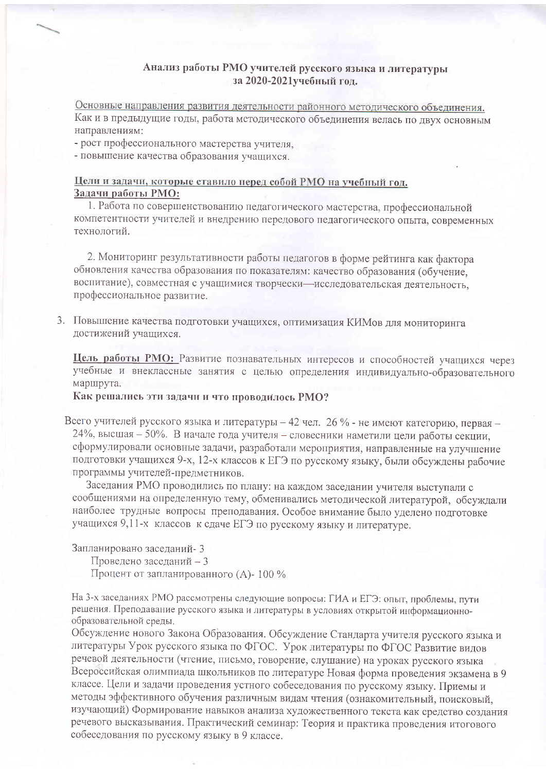### Анализ работы РМО учителей русского языка и литературы за 2020-2021учебный год.

Основные направления развития деятельности районного методического объединения. Как и в предыдущие годы, работа методического объединения велась по двух основным направлениям:

- рост профессионального мастерства учителя,

- повышение качества образования учащихся.

## Цели и задачи, которые ставило перед собой РМО на учебный год. Задачи работы РМО:

1. Работа по совершенствованию педагогического мастерства, профессиональной компетентности учителей и внедрению передового педагогического опыта, современных технологий.

2. Мониторинг результативности работы педагогов в форме рейтинга как фактора обновления качества образования по показателям: качество образования (обучение, воспитание), совместная с учащимися творчески-исследовательская деятельность, профессиональное развитие.

3. Повышение качества подготовки учащихся, оптимизация КИМов для мониторинга достижений учащихся.

Цель работы РМО: Развитие познавательных интересов и способностей учащихся через учебные и внеклассные занятия с целью определения индивидуально-образовательного маршрута.

### Как решались эти задачи и что проводилось РМО?

Всего учителей русского языка и литературы - 42 чел. 26 % - не имеют категорию, первая -24%, высшая – 50%. В начале года учителя – словесники наметили цели работы секции, сформулировали основные задачи, разработали мероприятия, направленные на улучшение подготовки учащихся 9-х, 12-х классов к ЕГЭ по русскому языку, были обсуждены рабочие программы учителей-предметников.

Заседания РМО проводились по плану: на каждом заседании учителя выступали с сообщениями на определенную тему, обменивались методической литературой, обсуждали наиболее трудные вопросы преподавания. Особое внимание было уделено подготовке учащихся 9,11-х классов к сдаче ЕГЭ по русскому языку и литературе.

Запланировано заселаний- 3

Проведено заседаний - 3

Процент от запланированного (А)-100 %

На 3-х заседаниях РМО рассмотрены следующие вопросы: ГИА и ЕГЭ: опыт, проблемы, пути решения. Преподавание русского языка и литературы в условиях открытой информационнообразовательной среды.

Обсуждение нового Закона Образования. Обсуждение Стандарта учителя русского языка и литературы Урок русского языка по ФГОС. Урок литературы по ФГОС Развитие вилов речевой деятельности (чтение, письмо, говорение, слушание) на уроках русского языка Всероссийская олимпиада школьников по литературе Новая форма проведения экзамена в 9 классе. Цели и задачи проведения устного собеседования по русскому языку. Приемы и методы эффективного обучения различным видам чтения (ознакомительный, поисковый, изучающий) Формирование навыков анализа художественного текста как средство создания речевого высказывания. Практический семинар: Теория и практика проведения итогового собеседования по русскому языку в 9 классе.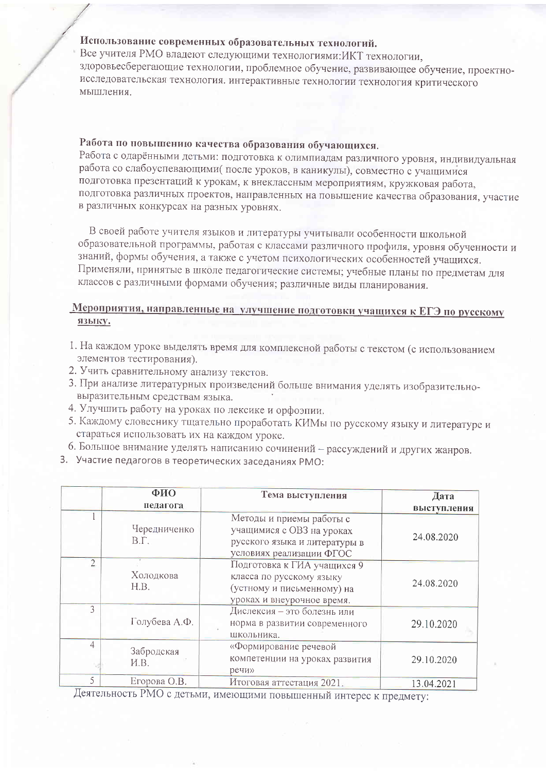## Использование современных образовательных технологий.

Все учителя РМО владеют следующими технологиями: ИКТ технологии, здоровьесберегающие технологии, проблемное обучение, развивающее обучение, проектноисследовательская технология. интерактивные технологии технология критического мышления.

# Работа по повышению качества образования обучающихся.

Работа с одарёнными детьми: подготовка к олимпиадам различного уровня, индивидуальная работа со слабоуспевающими (после уроков, в каникулы), совместно с учащимися подготовка презентаций к урокам, к внеклассным мероприятиям, кружковая работа, подготовка различных проектов, направленных на повышение качества образования, участие в различных конкурсах на разных уровнях.

В своей работе учителя языков и литературы учитывали особенности школьной образовательной программы, работая с классами различного профиля, уровня обученности и знаний, формы обучения, а также с учетом психологических особенностей учащихся. Применяли, принятые в школе педагогические системы; учебные планы по предметам для классов с различными формами обучения; различные виды планирования.

## Мероприятия, направленные на улучшение подготовки учащихся к ЕГЭ по русскому языку.

- 1. На каждом уроке выделять время для комплексной работы с текстом (с использованием элементов тестирования).
- 2. Учить сравнительному анализу текстов.
- 3. При анализе литературных произведений больше внимания уделять изобразительновыразительным средствам языка.
- 4. Улучшить работу на уроках по лексике и орфоэпии.
- 5. Каждому словеснику тщательно проработать КИМы по русскому языку и литературе и стараться использовать их на каждом уроке.
- 6. Большое внимание уделять написанию сочинений рассуждений и других жанров.
- 3. Участие педагогов в теоретических заседаниях РМО:

|                | ФИО                         | Тема выступления                                                                                                    | Дата        |
|----------------|-----------------------------|---------------------------------------------------------------------------------------------------------------------|-------------|
|                | педагога                    |                                                                                                                     | выступления |
|                | Чередниченко<br>$B.\Gamma.$ | Методы и приемы работы с<br>учащимися с ОВЗ на уроках<br>русского языка и литературы в<br>условиях реализации ФГОС  | 24.08.2020  |
| $\overline{2}$ | Холодкова<br>H.B.           | Подготовка к ГИА учащихся 9<br>класса по русскому языку<br>(устному и письменному) на<br>уроках и внеурочное время. | 24.08.2020  |
| $\mathcal{L}$  | Голубева А.Ф.               | Дислексия - это болезнь или<br>норма в развитии современного<br>школьника.                                          | 29.10.2020  |
| 4              | Забродская<br>H.B.          | «Формирование речевой<br>компетенции на уроках развития<br>речи»                                                    | 29.10.2020  |
| 5              | Егорова О.В.                | Итоговая аттестация 2021.                                                                                           | 13.04.2021  |

Деятельность РМО с детьми, имеющими повышенный интерес к предмету: